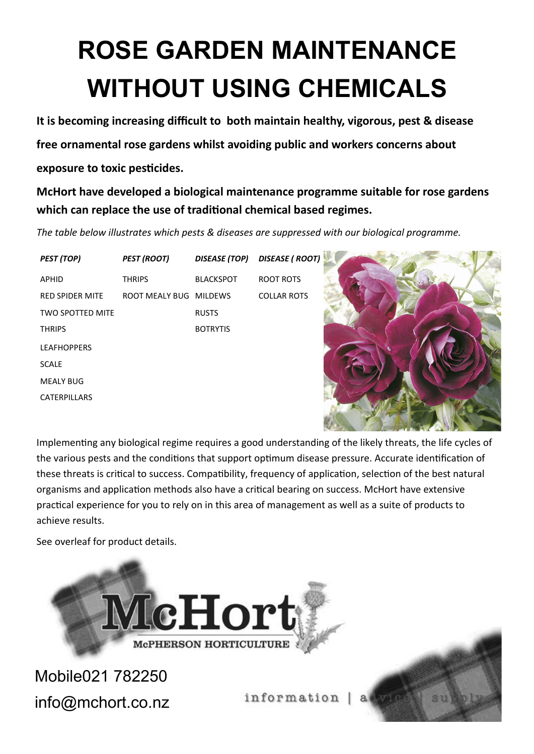## **ROSE GARDEN MAINTENANCE WITHOUT USING CHEMICALS**

**It is becoming increasing difficult to both maintain healthy, vigorous, pest & disease**

**free ornamental rose gardens whilst avoiding public and workers concerns about** 

## **exposure to toxic pesticides.**

**McHort have developed a biological maintenance programme suitable for rose gardens which can replace the use of traditional chemical based regimes.**

*The table below illustrates which pests & diseases are suppressed with our biological programme.*

*PEST (TOP) PEST (ROOT) DISEASE (TOP) DISEASE ( ROOT)* TWO SPOTTED MITE THRIPS **BOTRYTIS** LEAFHOPPERS SCALE MEALY BUG CATERPILLARS

APHID THRIPS BLACKSPOT ROOT ROTS RED SPIDER MITE ROOT MEALY BUG MILDEWS COLLAR ROTS



Implementing any biological regime requires a good understanding of the likely threats, the life cycles of the various pests and the conditions that support optimum disease pressure. Accurate identification of these threats is critical to success. Compatibility, frequency of application, selection of the best natural organisms and application methods also have a critical bearing on success. McHort have extensive practical experience for you to rely on in this area of management as well as a suite of products to achieve results.

See overleaf for product details.



Mobile021 782250 info@mchort.co.nz

information